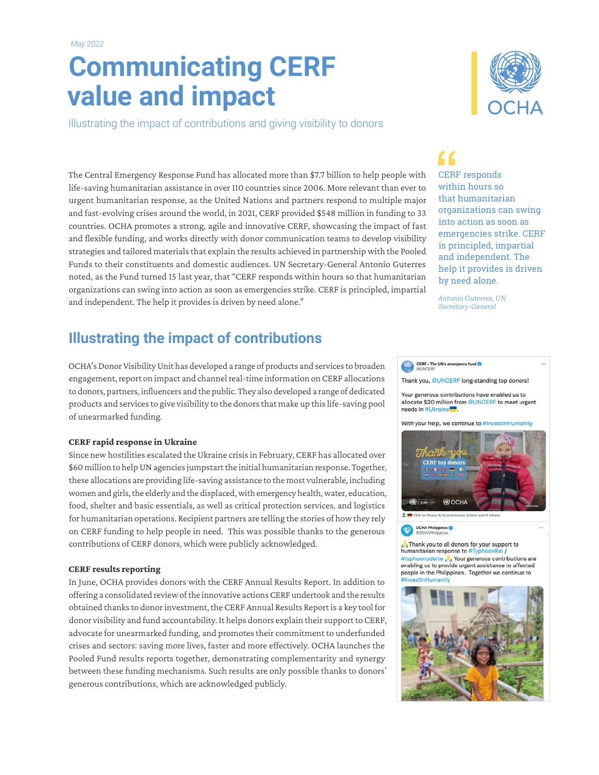# **Communicating CERF value and impact**

Illustrating the impact of contributions and giving visibility to donors



The Central Emergency Response Fund has allocated more than \$7.7 billion to help people with life-saving humanitarian assistance in over 110 countries since 2006. More relevant than ever to urgent humanitarian response, as the United Nations and partners respond to multiple major and fast-evolving crises around the world, in 2021, CERF provided \$548 million in funding to 33 countries. OCHA promotes a strong, agile and innovative CERF, showcasing the impact of fast and flexible funding, and works directly with donor communication teams to develop visibility strategies and tailored materials that explain the results achieved in partnership with the Pooled Funds to their constituents and domestic audiences. UN Secretary-General Antonio Guterres noted, as the Fund turned 15 last year, that "CERF responds within hours so that humanitarian organizations can swing into action as soon as emergencies strike. CERF is principled, impartial and independent. The help it provides is driven by need alone."

## **Illustrating the impact of contributions**

OCHA's Donor Visibility Unit has developed a range of products and services to broaden engagement, report on impact and channel real-time information on CERF allocations to donors, partners, influencers and the public. They also developed a range of dedicated products and services to give visibility to the donors that make up this life-saving pool of unearmarked funding.

#### **CERF rapid response in Ukraine**

Since new hostilities escalated the Ukraine crisis in February, CERF has allocated over \$60 million to help UN agencies jumpstart the initial humanitarian response. Together, these allocations are providing life-saving assistance to the most vulnerable, including women and girls, the elderly and the displaced, with emergency health, water, education, food, shelter and basic essentials, as well as critical protection services, and logistics for humanitarian operations. Recipient partners are telling the stories of how they rely on CERF funding to help people in need. This was possible thanks to the generous contributions of CERF donors, which were publicly acknowledged.

#### **CERF results reporting**

In June, OCHA provides donors with the CERF Annual Results Report. In addition to offering a consolidated review of the innovative actions CERF undertook and the results obtained thanks to donor investment, the CERF Annual Results Report is a key tool for donor visibility and fund accountability. It helps donors explain their support to CERF, advocate for unearmarked funding, and promotes their commitment to underfunded crises and sectors: saving more lives, faster and more effectively. OCHA launches the Pooled Fund results reports together, demonstrating complementarity and synergy between these funding mechanisms. Such results are only possible thanks to donors' generous contributions, which are acknowledged publicly.

## $\overline{\mathbf{G}}$

CERF responds within hours so that humanitarian organizations can swing into action as soon as emergencies strike. CERF is principled, impartial and independent. The help it provides is driven by need alone.

*Antonio Guterres, UN Secretary-General*

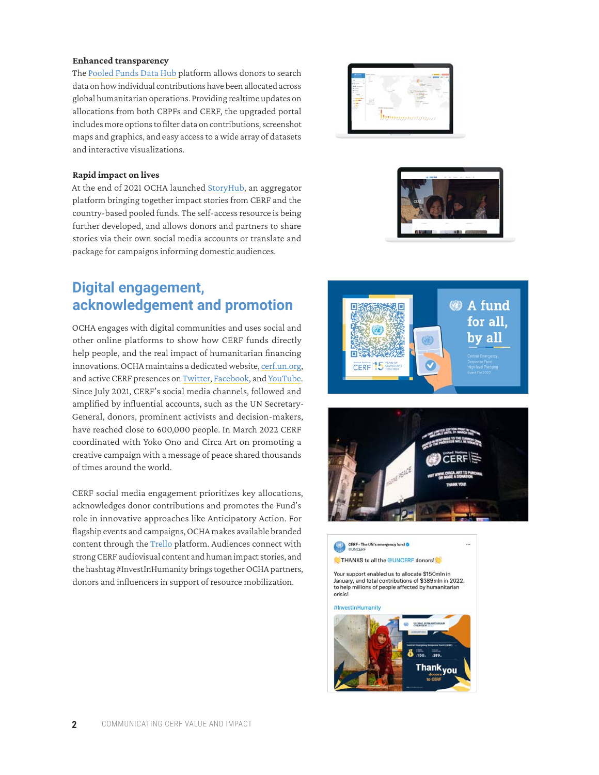#### **Enhanced transparency**

The [Pooled Funds Data Hub](https://pfdata.unocha.org/) platform allows donors to search data on how individual contributions have been allocated across global humanitarian operations. Providing realtime updates on allocations from both CBPFs and CERF, the upgraded portal includes more options to filter data on contributions, screenshot maps and graphics, and easy access to a wide array of datasets and interactive visualizations.

#### **Rapid impact on lives**

At the end of 2021 OCHA launched [StoryHub,](https://pooledfunds.impact.unocha.org/) an aggregator platform bringing together impact stories from CERF and the country-based pooled funds. The self-access resource is being further developed, and allows donors and partners to share stories via their own social media accounts or translate and package for campaigns informing domestic audiences.

### **Digital engagement, acknowledgement and promotion**

OCHA engages with digital communities and uses social and other online platforms to show how CERF funds directly help people, and the real impact of humanitarian financing innovations. OCHA maintains a dedicated website, [cerf.un.org,](http://cerf.un.org) and active CERF presences on [Twitter,](https://twitter.com/UNCERF/status/1483819595291152387) [Facebook](https://www.facebook.com/UnitedNationsCERF), and [YouTube.](https://www.youtube.com/playlist?list=PLWJnDyoYHypITgxfTY4OPOBd5R3YUH1q4) Since July 2021, CERF's social media channels, followed and amplified by influential accounts, such as the UN Secretary-General, donors, prominent activists and decision-makers, have reached close to 600,000 people. In March 2022 CERF coordinated with Yoko Ono and Circa Art on promoting a creative campaign with a message of peace shared thousands of times around the world.

CERF social media engagement prioritizes key allocations, acknowledges donor contributions and promotes the Fund's role in innovative approaches like Anticipatory Action. For flagship events and campaigns, OCHA makes available branded content through the [Trello](https://trello.com/b/Y5NwS6zr/cerf-hlpe-2022) platform. Audiences connect with strong CERF audiovisual content and human impact stories, and the hashtag #InvestInHumanity brings together OCHA partners, donors and influencers in support of resource mobilization.